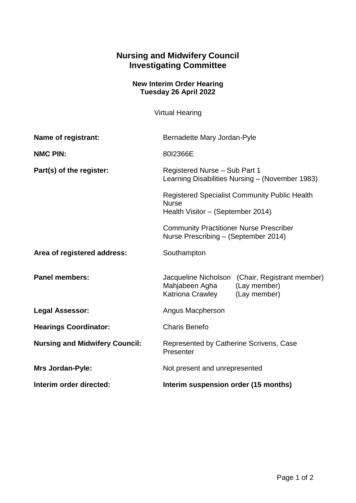## **Nursing and Midwifery Council Investigating Committee**

## **New Interim Order Hearing Tuesday 26 April 2022**

Virtual Hearing

| Name of registrant:                   | Bernadette Mary Jordan-Pyle                                                                                                                                                                                                                                                             |                                                                                 |
|---------------------------------------|-----------------------------------------------------------------------------------------------------------------------------------------------------------------------------------------------------------------------------------------------------------------------------------------|---------------------------------------------------------------------------------|
| <b>NMC PIN:</b>                       | 80I2366E                                                                                                                                                                                                                                                                                |                                                                                 |
| Part(s) of the register:              | Registered Nurse - Sub Part 1<br>Learning Disabilities Nursing - (November 1983)<br><b>Registered Specialist Community Public Health</b><br><b>Nurse</b><br>Health Visitor - (September 2014)<br><b>Community Practitioner Nurse Prescriber</b><br>Nurse Prescribing - (September 2014) |                                                                                 |
|                                       |                                                                                                                                                                                                                                                                                         |                                                                                 |
|                                       |                                                                                                                                                                                                                                                                                         |                                                                                 |
| Area of registered address:           | Southampton                                                                                                                                                                                                                                                                             |                                                                                 |
| <b>Panel members:</b>                 | Mahjabeen Agha<br>Katriona Crawley                                                                                                                                                                                                                                                      | Jacqueline Nicholson (Chair, Registrant member)<br>(Lay member)<br>(Lay member) |
| <b>Legal Assessor:</b>                | Angus Macpherson                                                                                                                                                                                                                                                                        |                                                                                 |
| <b>Hearings Coordinator:</b>          | <b>Charis Benefo</b>                                                                                                                                                                                                                                                                    |                                                                                 |
| <b>Nursing and Midwifery Council:</b> | Represented by Catherine Scrivens, Case<br>Presenter                                                                                                                                                                                                                                    |                                                                                 |
| <b>Mrs Jordan-Pyle:</b>               | Not present and unrepresented                                                                                                                                                                                                                                                           |                                                                                 |
| Interim order directed:               | Interim suspension order (15 months)                                                                                                                                                                                                                                                    |                                                                                 |